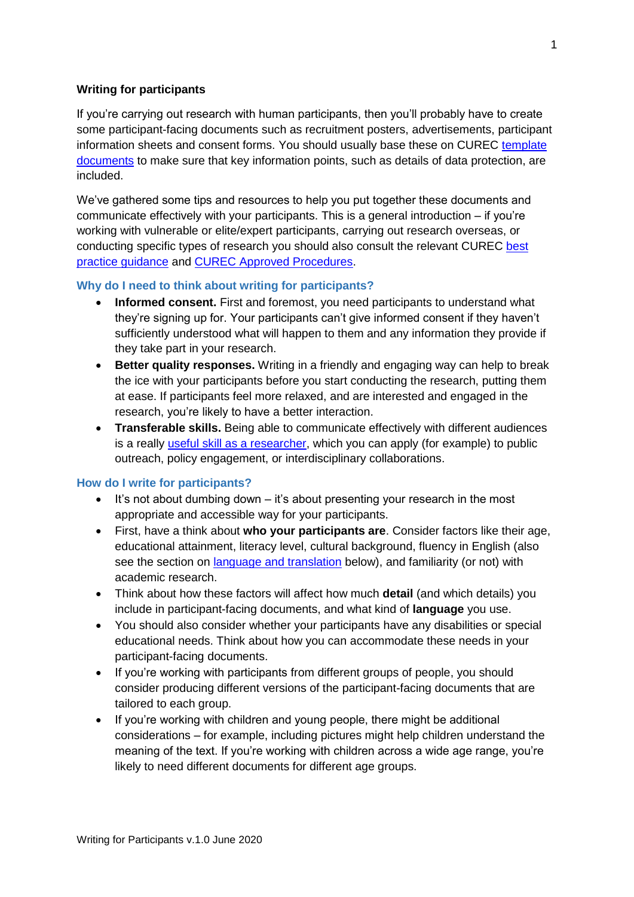#### **Writing for participants**

If you're carrying out research with human participants, then you'll probably have to create some participant-facing documents such as recruitment posters, advertisements, participant information sheets and consent forms. You should usually base these on CUREC [template](https://researchsupport.admin.ox.ac.uk/governance/ethics/resources/consent#collapse281101)  [documents](https://researchsupport.admin.ox.ac.uk/governance/ethics/resources/consent#collapse281101) to make sure that key information points, such as details of data protection, are included.

We've gathered some tips and resources to help you put together these documents and communicate effectively with your participants. This is a general introduction – if you're working with vulnerable or elite/expert participants, carrying out research overseas, or conducting specific types of research you should also consult the relevant CUREC [best](https://researchsupport.admin.ox.ac.uk/governance/ethics/resources/bpg)  [practice guidance](https://researchsupport.admin.ox.ac.uk/governance/ethics/resources/bpg) and [CUREC Approved Procedures.](https://researchsupport.admin.ox.ac.uk/governance/ethics/resources/bpg)

#### **Why do I need to think about writing for participants?**

- **Informed consent.** First and foremost, you need participants to understand what they're signing up for. Your participants can't give informed consent if they haven't sufficiently understood what will happen to them and any information they provide if they take part in your research.
- **Better quality responses.** Writing in a friendly and engaging way can help to break the ice with your participants before you start conducting the research, putting them at ease. If participants feel more relaxed, and are interested and engaged in the research, you're likely to have a better interaction.
- **Transferable skills.** Being able to communicate effectively with different audiences is a really [useful skill as a researcher,](https://theconversation.com/heres-why-academics-should-write-for-the-public-50874) which you can apply (for example) to public outreach, policy engagement, or interdisciplinary collaborations.

#### **How do I write for participants?**

- $\bullet$  It's not about dumbing down  $-$  it's about presenting your research in the most appropriate and accessible way for your participants.
- First, have a think about **who your participants are**. Consider factors like their age, educational attainment, literacy level, cultural background, fluency in English (also see the section on [language and translation](#page-2-0) below), and familiarity (or not) with academic research.
- Think about how these factors will affect how much **detail** (and which details) you include in participant-facing documents, and what kind of **language** you use.
- You should also consider whether your participants have any disabilities or special educational needs. Think about how you can accommodate these needs in your participant-facing documents.
- If you're working with participants from different groups of people, you should consider producing different versions of the participant-facing documents that are tailored to each group.
- If you're working with children and young people, there might be additional considerations – for example, including pictures might help children understand the meaning of the text. If you're working with children across a wide age range, you're likely to need different documents for different age groups.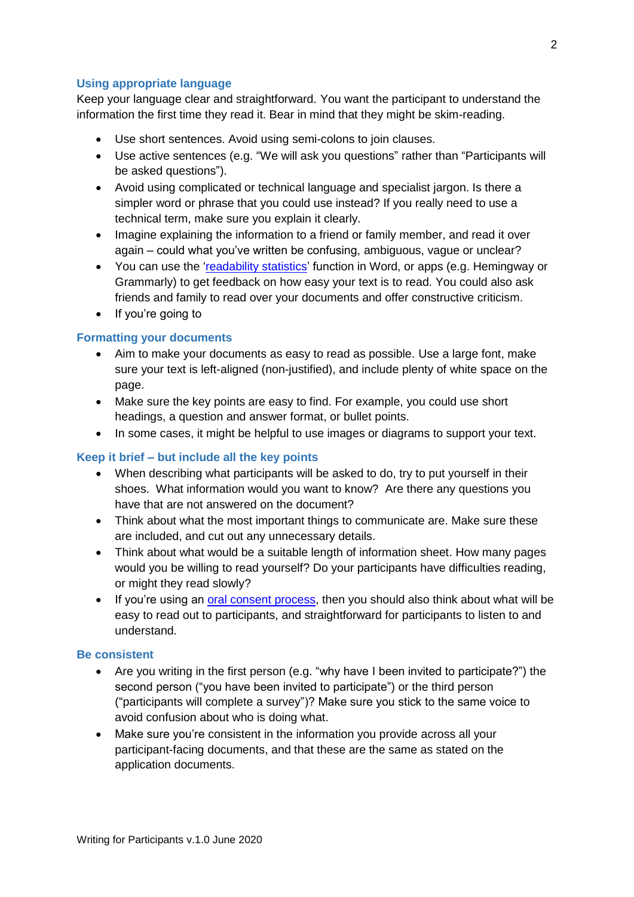## **Using appropriate language**

Keep your language clear and straightforward. You want the participant to understand the information the first time they read it. Bear in mind that they might be skim-reading.

- Use short sentences. Avoid using semi-colons to join clauses.
- Use active sentences (e.g. "We will ask you questions" rather than "Participants will be asked questions").
- Avoid using complicated or technical language and specialist jargon. Is there a simpler word or phrase that you could use instead? If you really need to use a technical term, make sure you explain it clearly.
- Imagine explaining the information to a friend or family member, and read it over again – could what you've written be confusing, ambiguous, vague or unclear?
- You can use the ['readability statistics'](https://en.wikipedia.org/wiki/Flesch%E2%80%93Kincaid_readability_tests) function in Word, or apps (e.g. Hemingway or Grammarly) to get feedback on how easy your text is to read. You could also ask friends and family to read over your documents and offer constructive criticism.
- If you're going to

## **Formatting your documents**

- Aim to make your documents as easy to read as possible. Use a large font, make sure your text is left-aligned (non-justified), and include plenty of white space on the page.
- Make sure the key points are easy to find. For example, you could use short headings, a question and answer format, or bullet points.
- In some cases, it might be helpful to use images or diagrams to support your text.

# **Keep it brief – but include all the key points**

- When describing what participants will be asked to do, try to put yourself in their shoes. What information would you want to know? Are there any questions you have that are not answered on the document?
- Think about what the most important things to communicate are. Make sure these are included, and cut out any unnecessary details.
- Think about what would be a suitable length of information sheet. How many pages would you be willing to read yourself? Do your participants have difficulties reading, or might they read slowly?
- If you're using an [oral consent process,](https://researchsupport.admin.ox.ac.uk/governance/ethics/resources/consent#collapse281096) then you should also think about what will be easy to read out to participants, and straightforward for participants to listen to and understand.

## **Be consistent**

- Are you writing in the first person (e.g. "why have I been invited to participate?") the second person ("you have been invited to participate") or the third person ("participants will complete a survey")? Make sure you stick to the same voice to avoid confusion about who is doing what.
- Make sure you're consistent in the information you provide across all your participant-facing documents, and that these are the same as stated on the application documents.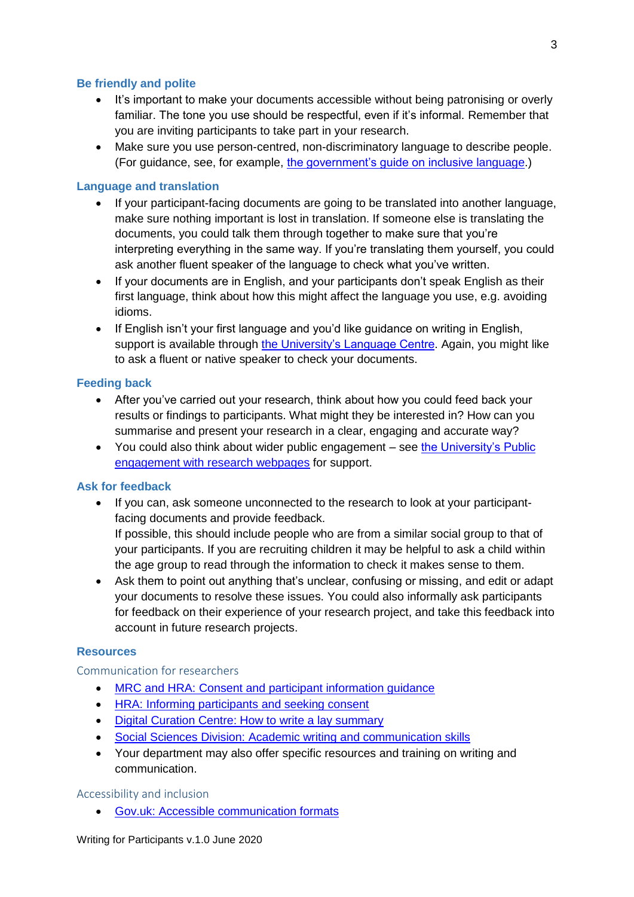## **Be friendly and polite**

- It's important to make your documents accessible without being patronising or overly familiar. The tone you use should be respectful, even if it's informal. Remember that you are inviting participants to take part in your research.
- Make sure you use person-centred, non-discriminatory language to describe people. (For guidance, see, for example, [the government's guide on inclusive language.](https://www.gov.uk/government/publications/inclusive-communication/inclusive-language-words-to-use-and-avoid-when-writing-about-disability))

## <span id="page-2-0"></span>**Language and translation**

- If your participant-facing documents are going to be translated into another language, make sure nothing important is lost in translation. If someone else is translating the documents, you could talk them through together to make sure that you're interpreting everything in the same way. If you're translating them yourself, you could ask another fluent speaker of the language to check what you've written.
- If your documents are in English, and your participants don't speak English as their first language, think about how this might affect the language you use, e.g. avoiding idioms.
- If English isn't your first language and you'd like guidance on writing in English, support is available through [the University's Language Centre.](https://www.lang.ox.ac.uk/academic-english) Again, you might like to ask a fluent or native speaker to check your documents.

## **Feeding back**

- After you've carried out your research, think about how you could feed back your results or findings to participants. What might they be interested in? How can you summarise and present your research in a clear, engaging and accurate way?
- You could also think about wider public engagement see [the University's Public](http://www.ox.ac.uk/research/public-engagement)  [engagement with research webpages](http://www.ox.ac.uk/research/public-engagement) for support.

## **Ask for feedback**

 If you can, ask someone unconnected to the research to look at your participantfacing documents and provide feedback.

If possible, this should include people who are from a similar social group to that of your participants. If you are recruiting children it may be helpful to ask a child within the age group to read through the information to check it makes sense to them.

 Ask them to point out anything that's unclear, confusing or missing, and edit or adapt your documents to resolve these issues. You could also informally ask participants for feedback on their experience of your research project, and take this feedback into account in future research projects.

## **Resources**

Communication for researchers

- [MRC and HRA: Consent and participant information guidance](http://www.hra-decisiontools.org.uk/consent/style.html)
- **[HRA:](https://www.hra.nhs.uk/planning-and-improving-research/best-practice/informing-participants-and-seeking-consent/) Informing participants and seeking consent**
- [Digit](https://www.dcc.ac.uk/sites/default/files/documents/publications/HowToLaySummariesDec2012.pdf)al Curation Centre: How to write a lay summary
- [Social Sciences Division: Academic writing and communication skills](https://www.socsci.ox.ac.uk/writing)
- Your department may also offer specific resources and training on writing and communication.

## Accessibility and inclusion

[Gov.uk: Accessible communication formats](•%09https:/www.gov.uk/government/publications/inclusive-communication/accessible-communication-formats)